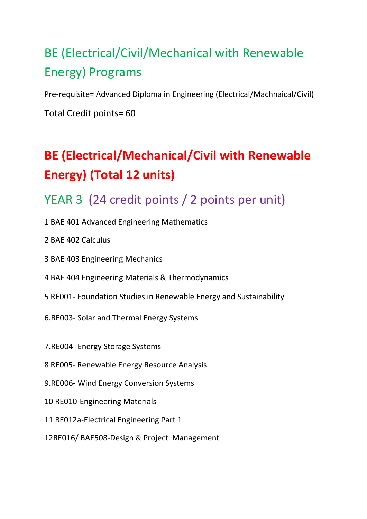# BE (Electrical/Civil/Mechanical with Renewable Energy) Programs

Pre-requisite= Advanced Diploma in Engineering (Electrical/Machnaical/Civil)

Total Credit points= 60

# **BE (Electrical/Mechanical/Civil with Renewable Energy) (Total 12 units)**

## YEAR 3 (24 credit points / 2 points per unit)

- 1 BAE 401 Advanced Engineering Mathematics
- 2 [BAE 402 Calculus](file:///S:/UserData/Downloads/B%20E+B%20App%20Sc(IT)+B%20Bus%20Course%20Detailed%20Contents%20(1).htm%23b)
- 3 [BAE 403 Engineering Mechanics](file:///S:/UserData/Downloads/B%20E+B%20App%20Sc(IT)+B%20Bus%20Course%20Detailed%20Contents%20(1).htm%23c)
- 4 [BAE 404 Engineering Materials & Thermodynamics](file:///S:/UserData/Downloads/B%20E+B%20App%20Sc(IT)+B%20Bus%20Course%20Detailed%20Contents%20(1).htm%23d)
- 5 RE001- Foundation Studies in Renewable Energy and Sustainability
- 6.RE003- Solar and Thermal Energy Systems
- 7.RE004- Energy Storage Systems
- 8 RE005- Renewable Energy Resource Analysis
- 9.RE006- Wind Energy Conversion Systems
- 10 RE010-Engineering Materials
- 11 RE012a-Electrical Engineering Part 1
- 12RE016/ BAE508-Design & Project Management

--------------------------------------------------------------------------------------------------------------------------------------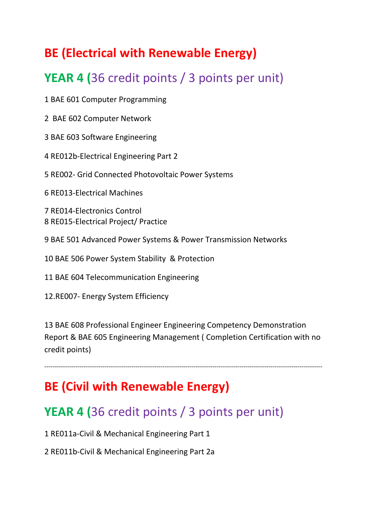## **BE (Electrical with Renewable Energy)**

## **YEAR 4 (**36 credit points / 3 points per unit)

1 [BAE 601 Computer Programming](file:///S:/UserData/Downloads/B%20E+B%20App%20Sc(IT)+B%20Bus%20Course%20Detailed%20Contents%20(1).htm%23q)

2 [BAE 602 Computer Network](file:///S:/UserData/Downloads/B%20E+B%20App%20Sc(IT)+B%20Bus%20Course%20Detailed%20Contents%20(1).htm%23y)

3 [BAE 603 Software Engineering](file:///S:/UserData/Downloads/B%20E+B%20App%20Sc(IT)+B%20Bus%20Course%20Detailed%20Contents%20(1).htm%23s)

4 RE012b-Electrical Engineering Part 2

5 RE002- Grid Connected Photovoltaic Power Systems

6 RE013-Electrical Machines

7 RE014-Electronics Control 8 RE015-Electrical Project/ Practice

9 [BAE 501 Advanced Power Systems & Power Transmission Networks](file:///S:/UserData/Downloads/B%20E+B%20App%20Sc(IT)+B%20Bus%20Course%20Detailed%20Contents%20(1).htm%23i)

10 [BAE 506 Power System Stability & Protection](file:///S:/UserData/Downloads/B%20E+B%20App%20Sc(IT)+B%20Bus%20Course%20Detailed%20Contents%20(1).htm%23n)

11 [BAE 604 Telecommunication Engineering](file:///S:/UserData/Downloads/B%20E+B%20App%20Sc(IT)+B%20Bus%20Course%20Detailed%20Contents%20(1).htm%23t)

12.RE007- Energy System Efficiency

13 BAE 608 Professional Engineer Engineering Competency Demonstration Report & BAE 605 Engineering Management ( Completion Certification with no credit points)

--------------------------------------------------------------------------------------------------------------------------------------

#### **BE (Civil with Renewable Energy)**

### **YEAR 4 (**36 credit points / 3 points per unit)

1 RE011a-Civil & Mechanical Engineering Part 1

2 RE011b-Civil & Mechanical Engineering Part 2a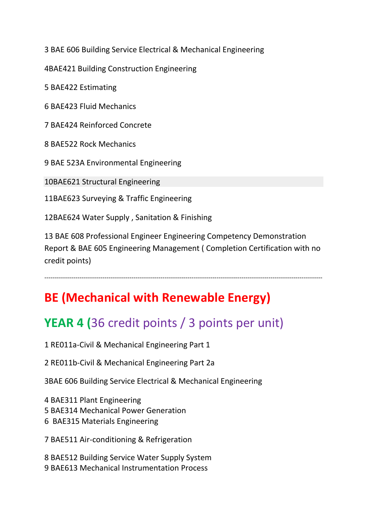[BAE 606 Building Service Electrical & Mechanical Engineering](file:///S:/UserData/Downloads/B%20E+B%20App%20Sc(IT)+B%20Bus%20Course%20Detailed%20Contents%20(1).htm%23v)

4BAE421 Building Construction Engineering

 [BAE422 Estimating](file:///S:/UserData/Downloads/B%20E+B%20App%20Sc(IT)+B%20Bus%20Course%20Detailed%20Contents%20(1).htm%23b2) 

 [BAE423 Fluid Mechanics](file:///S:/UserData/Downloads/B%20E+B%20App%20Sc(IT)+B%20Bus%20Course%20Detailed%20Contents%20(1).htm%23b3) 

 [BAE424 Reinforced Concrete](file:///S:/UserData/Downloads/B%20E+B%20App%20Sc(IT)+B%20Bus%20Course%20Detailed%20Contents%20(1).htm%23b4) 

 [BAE522 Rock Mechanics](file:///S:/UserData/Downloads/B%20E+B%20App%20Sc(IT)+B%20Bus%20Course%20Detailed%20Contents%20(1).htm%23b7) 

 [BAE 523A Environmental Engineering](file:///S:/UserData/Downloads/B%20E+B%20App%20Sc(IT)+B%20Bus%20Course%20Detailed%20Contents%20(1).htm%23z)

[0BAE621 Structural Engineering](file:///S:/UserData/Downloads/B%20E+B%20App%20Sc(IT)+B%20Bus%20Course%20Detailed%20Contents%20(1).htm%23b8) 

[1BAE623 Surveying & Traffic Engineering](file:///S:/UserData/Downloads/B%20E+B%20App%20Sc(IT)+B%20Bus%20Course%20Detailed%20Contents%20(1).htm%23b9) 

[2BAE624 Water Supply , Sanitation & Finishing](file:///S:/UserData/Downloads/B%20E+B%20App%20Sc(IT)+B%20Bus%20Course%20Detailed%20Contents%20(1).htm%23b10)

 BAE 608 Professional Engineer Engineering Competency Demonstration Report & BAE 605 Engineering Management ( Completion Certification with no credit points)

--------------------------------------------------------------------------------------------------------------------------------------

#### **BE (Mechanical with Renewable Energy)**

#### **YEAR 4 (**36 credit points / 3 points per unit)

1 RE011a-Civil & Mechanical Engineering Part 1

2 RE011b-Civil & Mechanical Engineering Part 2a

[3BAE 606 Building Service Electrical & Mechanical Engineering](file:///S:/UserData/Downloads/B%20E+B%20App%20Sc(IT)+B%20Bus%20Course%20Detailed%20Contents%20(1).htm%23v)

 [BAE311 Plant Engineering](file:///S:/UserData/Downloads/B%20E+B%20App%20Sc(IT)+B%20Bus%20Course%20Detailed%20Contents%20(1).htm%23c6)   [BAE314 Mechanical Power Generation](file:///S:/UserData/Downloads/B%20E+B%20App%20Sc(IT)+B%20Bus%20Course%20Detailed%20Contents%20(1).htm%23c9)  [BAE315 Materials Engineering](file:///S:/UserData/Downloads/B%20E+B%20App%20Sc(IT)+B%20Bus%20Course%20Detailed%20Contents%20(1).htm%23c10) 

[BAE511 Air-conditioning & Refrigeration](file:///S:/UserData/Downloads/B%20E+B%20App%20Sc(IT)+B%20Bus%20Course%20Detailed%20Contents%20(1).htm%23c1)

 [BAE512 Building Service Water Supply System](file:///S:/UserData/Downloads/B%20E+B%20App%20Sc(IT)+B%20Bus%20Course%20Detailed%20Contents%20(1).htm%23c4)  [BAE613 Mechanical Instrumentation Process](file:///S:/UserData/Downloads/B%20E+B%20App%20Sc(IT)+B%20Bus%20Course%20Detailed%20Contents%20(1).htm%23c5)